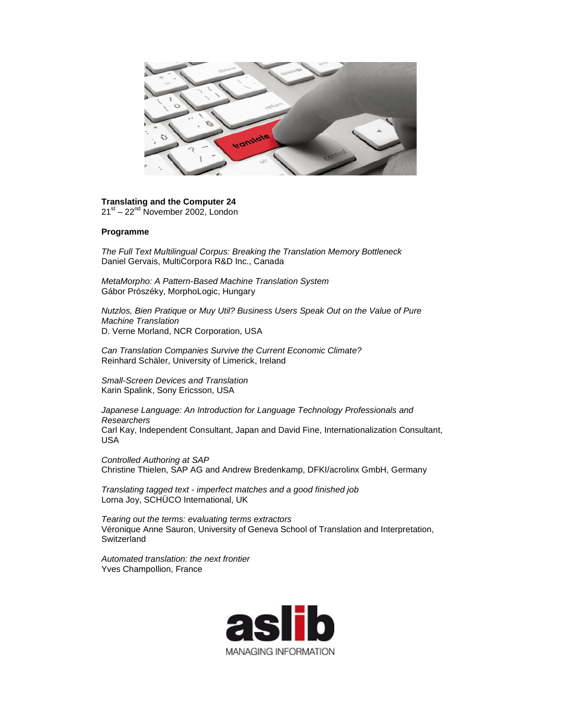

**Translating and the Computer 24** 21<sup>st</sup> – 22<sup>nd</sup> November 2002, London

## **Programme**

*The Full Text Multilingual Corpus: Breaking the Translation Memory Bottleneck* Daniel Gervais, MultiCorpora R&D Inc., Canada

*MetaMorpho: A Pattern-Based Machine Translation System* Gábor Prószéky, MorphoLogic, Hungary

*Nutzlos, Bien Pratique or Muy Util? Business Users Speak Out on the Value of Pure Machine Translation* D. Verne Morland, NCR Corporation, USA

*Can Translation Companies Survive the Current Economic Climate?* Reinhard Schäler, University of Limerick, Ireland

*Small-Screen Devices and Translation* Karin Spalink, Sony Ericsson, USA

*Japanese Language: An Introduction for Language Technology Professionals and Researchers* Carl Kay, Independent Consultant, Japan and David Fine, Internationalization Consultant, USA

*Controlled Authoring at SAP* Christine Thielen, SAP AG and Andrew Bredenkamp, DFKI/acrolinx GmbH, Germany

*Translating tagged text - imperfect matches and a good finished job* Lorna Joy, SCHÜCO International, UK

*Tearing out the terms: evaluating terms extractors* Véronique Anne Sauron, University of Geneva School of Translation and Interpretation, **Switzerland** 

*Automated translation: the next frontier* Yves Champollion, France